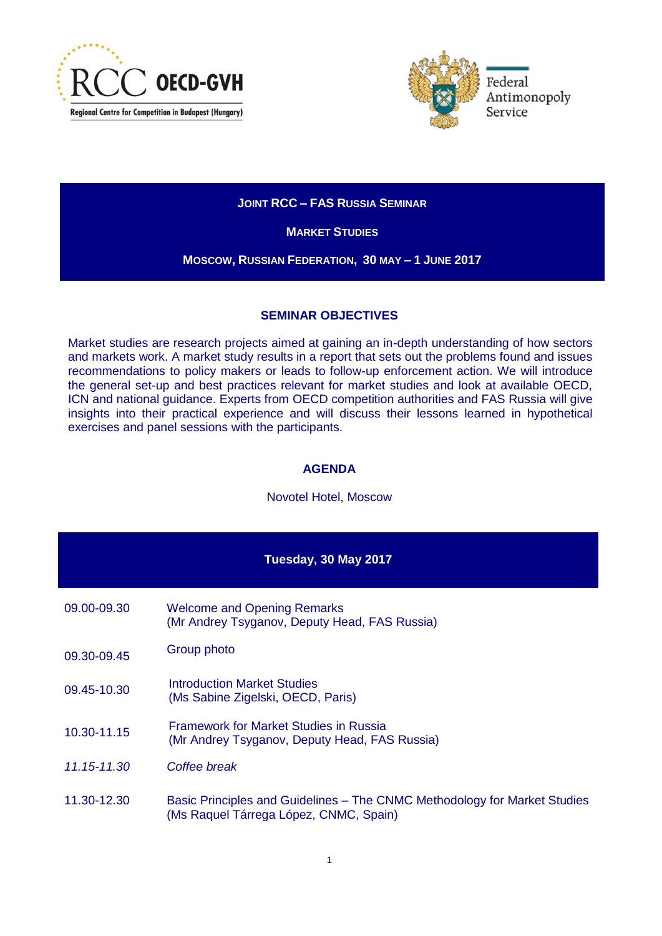



# **JOINT RCC – FAS RUSSIA SEMINAR**

# **MARKET STUDIES**

### **MOSCOW, RUSSIAN FEDERATION, 30 MAY – 1 JUNE 2017**

### **SEMINAR OBJECTIVES**

Market studies are research projects aimed at gaining an in-depth understanding of how sectors and markets work. A market study results in a report that sets out the problems found and issues recommendations to policy makers or leads to follow-up enforcement action. We will introduce the general set-up and best practices relevant for market studies and look at available OECD, ICN and national guidance. Experts from OECD competition authorities and FAS Russia will give insights into their practical experience and will discuss their lessons learned in hypothetical exercises and panel sessions with the participants.

# **AGENDA**

Novotel Hotel, Moscow

### **Tuesday, 30 May 2017**

- 09.00-09.30 Welcome and Opening Remarks (Mr Andrey Tsyganov, Deputy Head, FAS Russia)
- 09.30-09.45 Group photo
- 09.45-10.30 Introduction Market Studies (Ms Sabine Zigelski, OECD, Paris)
- 10.30-11.15 Framework for Market Studies in Russia (Mr Andrey Tsyganov, Deputy Head, FAS Russia)
- *11.15-11.30 Coffee break*
- 11.30-12.30 Basic Principles and Guidelines The CNMC Methodology for Market Studies (Ms Raquel Tárrega López, CNMC, Spain)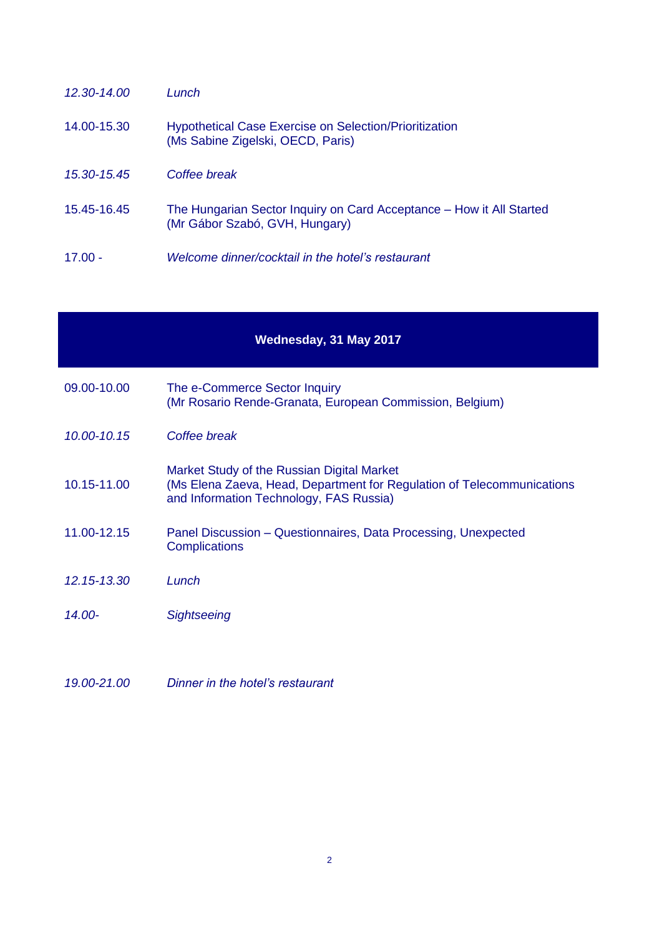| $12,30-14,00$ | Lunch                                                                                                  |
|---------------|--------------------------------------------------------------------------------------------------------|
| 14.00-15.30   | <b>Hypothetical Case Exercise on Selection/Prioritization</b><br>(Ms Sabine Zigelski, OECD, Paris)     |
| 15.30-15.45   | Coffee break                                                                                           |
| 15.45-16.45   | The Hungarian Sector Inquiry on Card Acceptance - How it All Started<br>(Mr Gábor Szabó, GVH, Hungary) |
| $17.00 -$     | Welcome dinner/cocktail in the hotel's restaurant                                                      |

# **Wednesday, 31 May 2017**

| 09.00-10.00 | The e-Commerce Sector Inquiry<br>(Mr Rosario Rende-Granata, European Commission, Belgium)                                                                       |
|-------------|-----------------------------------------------------------------------------------------------------------------------------------------------------------------|
| 10.00-10.15 | Coffee break                                                                                                                                                    |
| 10.15-11.00 | Market Study of the Russian Digital Market<br>(Ms Elena Zaeva, Head, Department for Regulation of Telecommunications<br>and Information Technology, FAS Russia) |
| 11.00-12.15 | Panel Discussion – Questionnaires, Data Processing, Unexpected<br><b>Complications</b>                                                                          |
| 12.15-13.30 | Lunch                                                                                                                                                           |
| 14.00-      | <b>Sightseeing</b>                                                                                                                                              |
|             |                                                                                                                                                                 |

*19.00-21.00 Dinner in the hotel's restaurant*